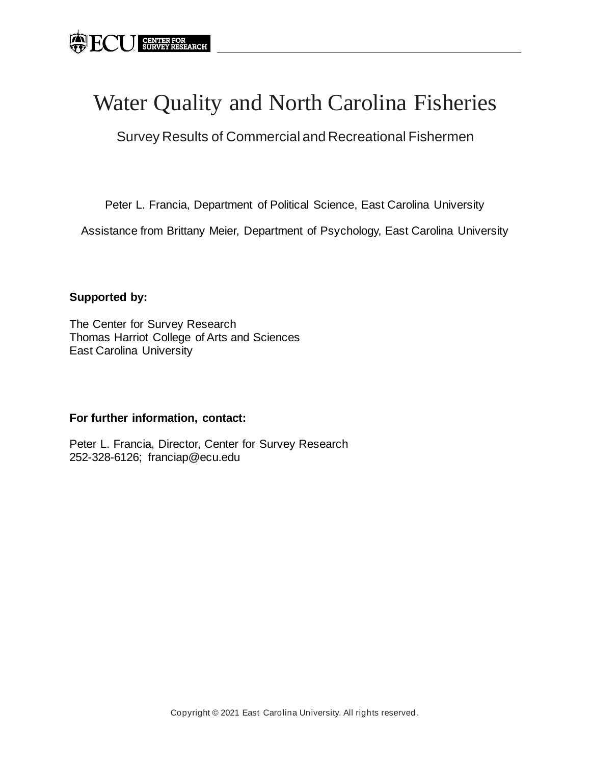# Water Quality and North Carolina Fisheries

Survey Results of Commercial and Recreational Fishermen

Peter L. Francia, Department of Political Science, East Carolina University

Assistance from Brittany Meier, Department of Psychology, East Carolina University

### **Supported by:**

The Center for Survey Research Thomas Harriot College of Arts and Sciences East Carolina University

### **For further information, contact:**

Peter L. Francia, Director, Center for Survey Research 252-328-6126; franciap@ecu.edu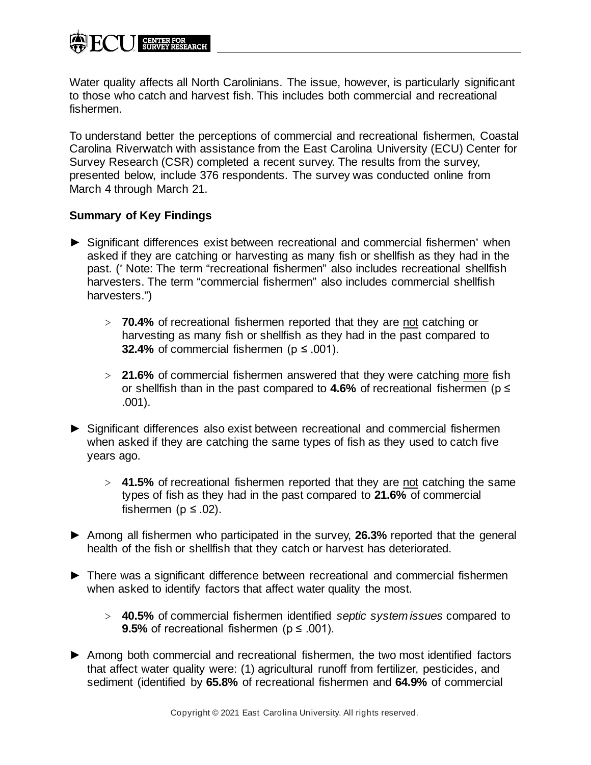Water quality affects all North Carolinians. The issue, however, is particularly significant to those who catch and harvest fish. This includes both commercial and recreational fishermen.

To understand better the perceptions of commercial and recreational fishermen, Coastal Carolina Riverwatch with assistance from the East Carolina University (ECU) Center for Survey Research (CSR) completed a recent survey. The results from the survey, presented below, include 376 respondents. The survey was conducted online from March 4 through March 21.

### **Summary of Key Findings**

- ► Significant differences exist between recreational and commercial fishermen\* when asked if they are catching or harvesting as many fish or shellfish as they had in the past. (\* Note: The term "recreational fishermen" also includes recreational shellfish harvesters. The term "commercial fishermen" also includes commercial shellfish harvesters.")
	- ˃ **70.4%** of recreational fishermen reported that they are not catching or harvesting as many fish or shellfish as they had in the past compared to **32.4%** of commercial fishermen ( $p \le 0.001$ ).
	- ˃ **21.6%** of commercial fishermen answered that they were catching more fish or shellfish than in the past compared to **4.6%** of recreational fishermen (p ≤ .001).
- ► Significant differences also exist between recreational and commercial fishermen when asked if they are catching the same types of fish as they used to catch five years ago.
	- ˃ **41.5%** of recreational fishermen reported that they are not catching the same types of fish as they had in the past compared to **21.6%** of commercial fishermen ( $p \leq .02$ ).
- ► Among all fishermen who participated in the survey, **26.3%** reported that the general health of the fish or shellfish that they catch or harvest has deteriorated.
- ► There was a significant difference between recreational and commercial fishermen when asked to identify factors that affect water quality the most.
	- ˃ **40.5%** of commercial fishermen identified *septic system issues* compared to **9.5%** of recreational fishermen ( $p \le 0.001$ ).
- ► Among both commercial and recreational fishermen, the two most identified factors that affect water quality were: (1) agricultural runoff from fertilizer, pesticides, and sediment (identified by **65.8%** of recreational fishermen and **64.9%** of commercial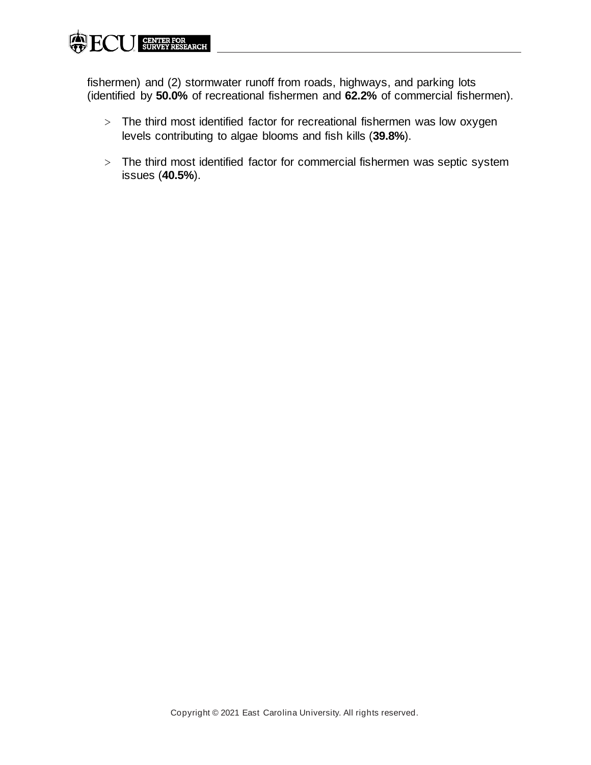

fishermen) and (2) stormwater runoff from roads, highways, and parking lots (identified by **50.0%** of recreational fishermen and **62.2%** of commercial fishermen).

- > The third most identified factor for recreational fishermen was low oxygen levels contributing to algae blooms and fish kills (**39.8%**).
- > The third most identified factor for commercial fishermen was septic system issues (**40.5%**).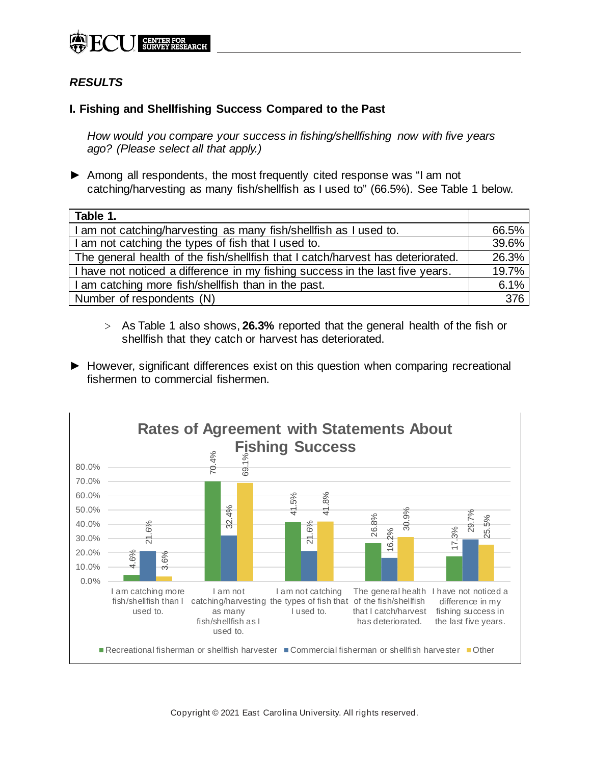

## *RESULTS*

#### **I. Fishing and Shellfishing Success Compared to the Past**

*How would you compare your success in fishing/shellfishing now with five years ago? (Please select all that apply.)*

► Among all respondents, the most frequently cited response was "I am not catching/harvesting as many fish/shellfish as I used to" (66.5%). See Table 1 below.

| Table 1.                                                                        |                  |
|---------------------------------------------------------------------------------|------------------|
| I am not catching/harvesting as many fish/shellfish as I used to.               | 66.5%            |
| I am not catching the types of fish that I used to.                             | 39.6%            |
| The general health of the fish/shellfish that I catch/harvest has deteriorated. | 26.3%            |
| I have not noticed a difference in my fishing success in the last five years.   | 19.7%            |
| I am catching more fish/shellfish than in the past.                             | 6.1%             |
| Number of respondents (N)                                                       | $\overline{376}$ |

- ˃ As Table 1 also shows, **26.3%** reported that the general health of the fish or shellfish that they catch or harvest has deteriorated.
- ► However, significant differences exist on this question when comparing recreational fishermen to commercial fishermen.



Copyright © 2021 East Carolina University. All rights reserved.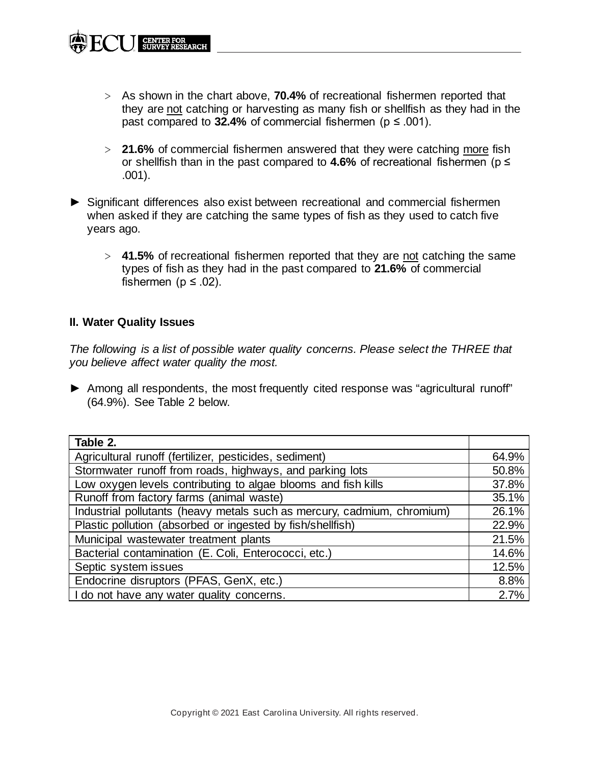- ˃ **21.6%** of commercial fishermen answered that they were catching more fish or shellfish than in the past compared to **4.6%** of recreational fishermen (p ≤ .001).
- ► Significant differences also exist between recreational and commercial fishermen when asked if they are catching the same types of fish as they used to catch five years ago.
	- ˃ **41.5%** of recreational fishermen reported that they are not catching the same types of fish as they had in the past compared to **21.6%** of commercial fishermen ( $p \leq .02$ ).

### **II. Water Quality Issues**

**CENTER FOR<br>SURVEY RESEARCH** 

*The following is a list of possible water quality concerns. Please select the THREE that you believe affect water quality the most.*

► Among all respondents, the most frequently cited response was "agricultural runoff" (64.9%). See Table 2 below.

| Table 2.                                                                |       |
|-------------------------------------------------------------------------|-------|
| Agricultural runoff (fertilizer, pesticides, sediment)                  | 64.9% |
| Stormwater runoff from roads, highways, and parking lots                | 50.8% |
| Low oxygen levels contributing to algae blooms and fish kills           | 37.8% |
| Runoff from factory farms (animal waste)                                | 35.1% |
| Industrial pollutants (heavy metals such as mercury, cadmium, chromium) | 26.1% |
| Plastic pollution (absorbed or ingested by fish/shellfish)              | 22.9% |
| Municipal wastewater treatment plants                                   | 21.5% |
| Bacterial contamination (E. Coli, Enterococci, etc.)                    | 14.6% |
| Septic system issues                                                    | 12.5% |
| Endocrine disruptors (PFAS, GenX, etc.)                                 | 8.8%  |
| I do not have any water quality concerns.                               | 2.7%  |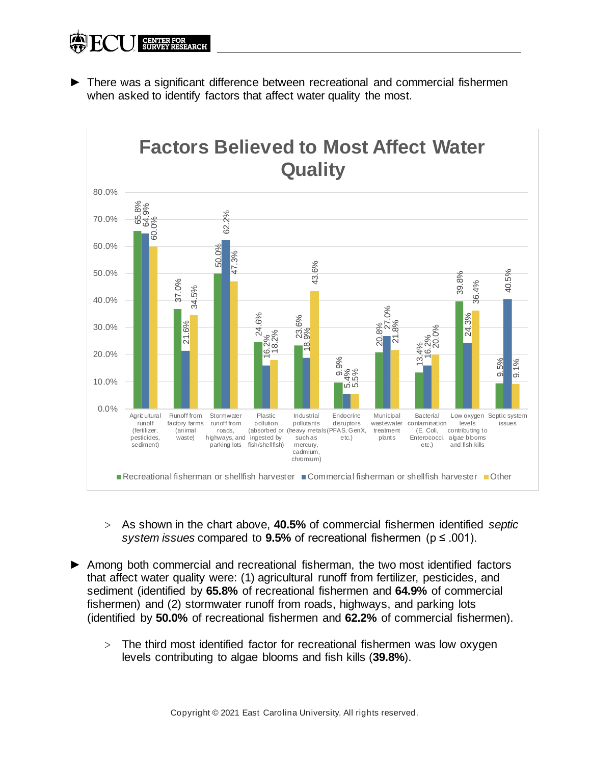► There was a significant difference between recreational and commercial fishermen when asked to identify factors that affect water quality the most.



- ˃ As shown in the chart above, **40.5%** of commercial fishermen identified *septic system issues* compared to **9.5%** of recreational fishermen (p ≤ .001).
- ► Among both commercial and recreational fisherman, the two most identified factors that affect water quality were: (1) agricultural runoff from fertilizer, pesticides, and sediment (identified by **65.8%** of recreational fishermen and **64.9%** of commercial fishermen) and (2) stormwater runoff from roads, highways, and parking lots (identified by **50.0%** of recreational fishermen and **62.2%** of commercial fishermen).
	- > The third most identified factor for recreational fishermen was low oxygen levels contributing to algae blooms and fish kills (39.8%).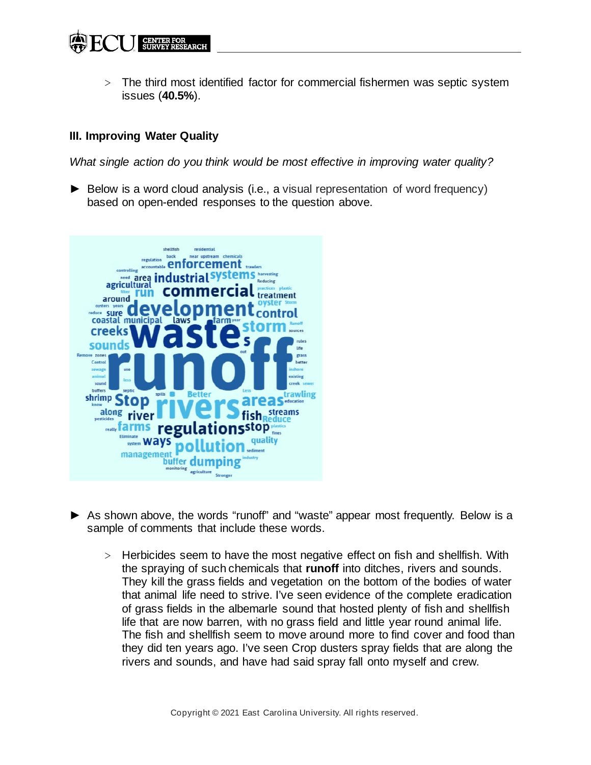˃ The third most identified factor for commercial fishermen was septic system issues (**40.5%**).

### **III. Improving Water Quality**

*What single action do you think would be most effective in improving water quality?*

► Below is a word cloud analysis (i.e., a visual representation of word frequency) based on open-ended responses to the question above.



- ► As shown above, the words "runoff" and "waste" appear most frequently. Below is a sample of comments that include these words.
	- ˃ Herbicides seem to have the most negative effect on fish and shellfish. With the spraying of such chemicals that **runoff** into ditches, rivers and sounds. They kill the grass fields and vegetation on the bottom of the bodies of water that animal life need to strive. I've seen evidence of the complete eradication of grass fields in the albemarle sound that hosted plenty of fish and shellfish life that are now barren, with no grass field and little year round animal life. The fish and shellfish seem to move around more to find cover and food than they did ten years ago. I've seen Crop dusters spray fields that are along the rivers and sounds, and have had said spray fall onto myself and crew.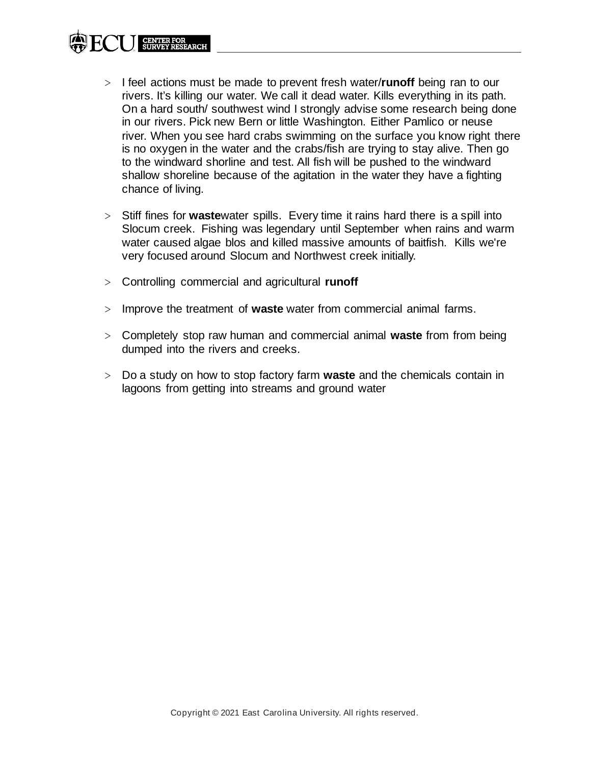- ˃ I feel actions must be made to prevent fresh water/**runoff** being ran to our rivers. It's killing our water. We call it dead water. Kills everything in its path. On a hard south/ southwest wind I strongly advise some research being done in our rivers. Pick new Bern or little Washington. Either Pamlico or neuse river. When you see hard crabs swimming on the surface you know right there is no oxygen in the water and the crabs/fish are trying to stay alive. Then go to the windward shorline and test. All fish will be pushed to the windward shallow shoreline because of the agitation in the water they have a fighting chance of living.
- ˃ Stiff fines for **waste**water spills. Every time it rains hard there is a spill into Slocum creek. Fishing was legendary until September when rains and warm water caused algae blos and killed massive amounts of baitfish. Kills we're very focused around Slocum and Northwest creek initially.
- ˃ Controlling commercial and agricultural **runoff**
- ˃ Improve the treatment of **waste** water from commercial animal farms.
- ˃ Completely stop raw human and commercial animal **waste** from from being dumped into the rivers and creeks.
- ˃ Do a study on how to stop factory farm **waste** and the chemicals contain in lagoons from getting into streams and ground water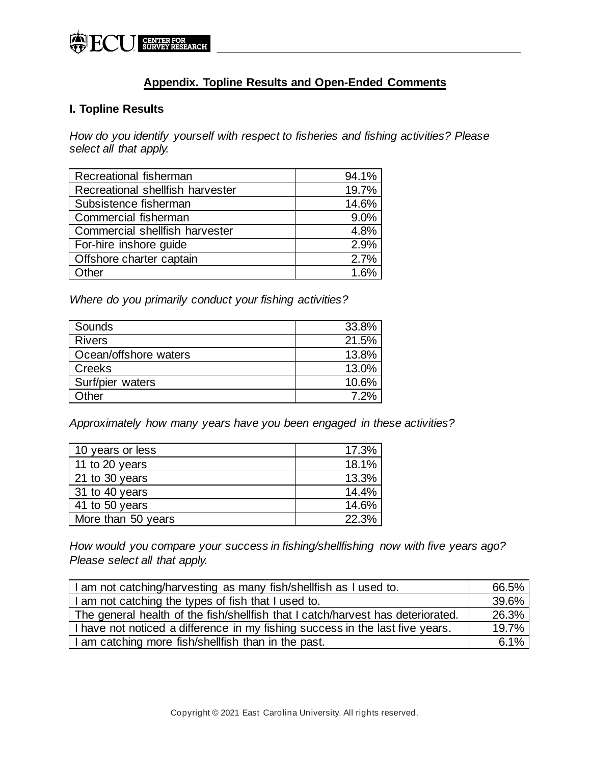

## **Appendix. Topline Results and Open-Ended Comments**

### **I. Topline Results**

*How do you identify yourself with respect to fisheries and fishing activities? Please select all that apply.*

| Recreational fisherman           | 94.1% |
|----------------------------------|-------|
| Recreational shellfish harvester | 19.7% |
| Subsistence fisherman            | 14.6% |
| Commercial fisherman             | 9.0%  |
| Commercial shellfish harvester   | 4.8%  |
| For-hire inshore guide           | 2.9%  |
| Offshore charter captain         | 2.7%  |
| Other                            | 1.6%  |

*Where do you primarily conduct your fishing activities?*

| Sounds                | 33.8% |
|-----------------------|-------|
| <b>Rivers</b>         | 21.5% |
| Ocean/offshore waters | 13.8% |
| Creeks                | 13.0% |
| Surf/pier waters      | 10.6% |
| Other                 | 7.2%  |

*Approximately how many years have you been engaged in these activities?*

| 10 years or less        | 17.3% |
|-------------------------|-------|
| 11 to 20 years          | 18.1% |
| $21$ to 30 years        | 13.3% |
| 31 to 40 years          | 14.4% |
| $\sqrt{41}$ to 50 years | 14.6% |
| More than 50 years      | 22.3% |

*How would you compare your success in fishing/shellfishing now with five years ago? Please select all that apply.*

| I am not catching/harvesting as many fish/shellfish as I used to.               |       |
|---------------------------------------------------------------------------------|-------|
| I am not catching the types of fish that I used to.                             | 39.6% |
| The general health of the fish/shellfish that I catch/harvest has deteriorated. | 26.3% |
| I have not noticed a difference in my fishing success in the last five years.   | 19.7% |
| I am catching more fish/shellfish than in the past.                             | 6.1%  |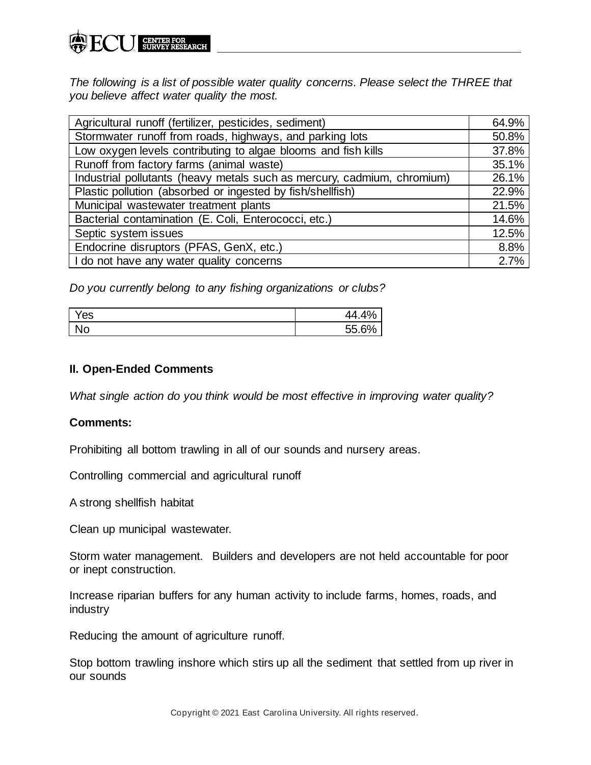*The following is a list of possible water quality concerns. Please select the THREE that you believe affect water quality the most.*

| Agricultural runoff (fertilizer, pesticides, sediment)                  | 64.9% |
|-------------------------------------------------------------------------|-------|
| Stormwater runoff from roads, highways, and parking lots                |       |
| Low oxygen levels contributing to algae blooms and fish kills           | 37.8% |
| Runoff from factory farms (animal waste)                                | 35.1% |
| Industrial pollutants (heavy metals such as mercury, cadmium, chromium) | 26.1% |
| Plastic pollution (absorbed or ingested by fish/shellfish)              | 22.9% |
| Municipal wastewater treatment plants                                   | 21.5% |
| Bacterial contamination (E. Coli, Enterococci, etc.)                    | 14.6% |
| Septic system issues                                                    | 12.5% |
| Endocrine disruptors (PFAS, GenX, etc.)                                 | 8.8%  |
| I do not have any water quality concerns                                | 2.7%  |

*Do you currently belong to any fishing organizations or clubs?*

| $\mathbf{v}$<br>es | л<br>44.4<br>70 |
|--------------------|-----------------|
| <b>No</b>          | 55 60'          |

### **II. Open-Ended Comments**

*What single action do you think would be most effective in improving water quality?*

### **Comments:**

Prohibiting all bottom trawling in all of our sounds and nursery areas.

Controlling commercial and agricultural runoff

A strong shellfish habitat

Clean up municipal wastewater.

Storm water management. Builders and developers are not held accountable for poor or inept construction.

Increase riparian buffers for any human activity to include farms, homes, roads, and industry

Reducing the amount of agriculture runoff.

Stop bottom trawling inshore which stirs up all the sediment that settled from up river in our sounds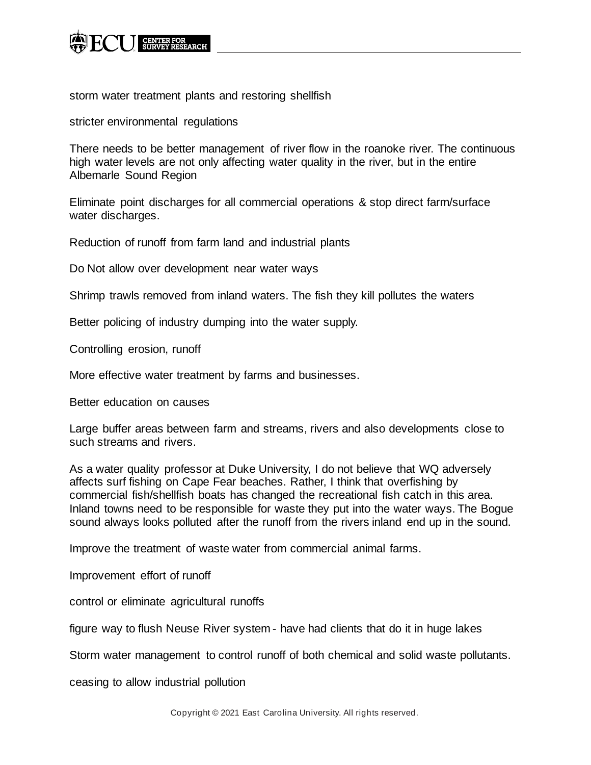

storm water treatment plants and restoring shellfish

stricter environmental regulations

There needs to be better management of river flow in the roanoke river. The continuous high water levels are not only affecting water quality in the river, but in the entire Albemarle Sound Region

Eliminate point discharges for all commercial operations & stop direct farm/surface water discharges.

Reduction of runoff from farm land and industrial plants

Do Not allow over development near water ways

Shrimp trawls removed from inland waters. The fish they kill pollutes the waters

Better policing of industry dumping into the water supply.

Controlling erosion, runoff

More effective water treatment by farms and businesses.

Better education on causes

Large buffer areas between farm and streams, rivers and also developments close to such streams and rivers.

As a water quality professor at Duke University, I do not believe that WQ adversely affects surf fishing on Cape Fear beaches. Rather, I think that overfishing by commercial fish/shellfish boats has changed the recreational fish catch in this area. Inland towns need to be responsible for waste they put into the water ways. The Bogue sound always looks polluted after the runoff from the rivers inland end up in the sound.

Improve the treatment of waste water from commercial animal farms.

Improvement effort of runoff

control or eliminate agricultural runoffs

figure way to flush Neuse River system - have had clients that do it in huge lakes

Storm water management to control runoff of both chemical and solid waste pollutants.

ceasing to allow industrial pollution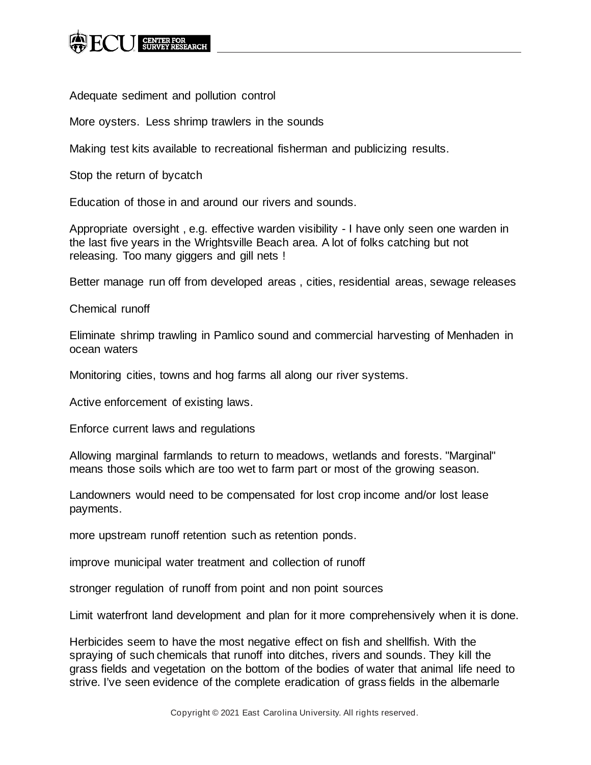

Adequate sediment and pollution control

More oysters. Less shrimp trawlers in the sounds

Making test kits available to recreational fisherman and publicizing results.

Stop the return of bycatch

Education of those in and around our rivers and sounds.

Appropriate oversight , e.g. effective warden visibility - I have only seen one warden in the last five years in the Wrightsville Beach area. A lot of folks catching but not releasing. Too many giggers and gill nets !

Better manage run off from developed areas , cities, residential areas, sewage releases

Chemical runoff

Eliminate shrimp trawling in Pamlico sound and commercial harvesting of Menhaden in ocean waters

Monitoring cities, towns and hog farms all along our river systems.

Active enforcement of existing laws.

Enforce current laws and regulations

Allowing marginal farmlands to return to meadows, wetlands and forests. "Marginal" means those soils which are too wet to farm part or most of the growing season.

Landowners would need to be compensated for lost crop income and/or lost lease payments.

more upstream runoff retention such as retention ponds.

improve municipal water treatment and collection of runoff

stronger regulation of runoff from point and non point sources

Limit waterfront land development and plan for it more comprehensively when it is done.

Herbicides seem to have the most negative effect on fish and shellfish. With the spraying of such chemicals that runoff into ditches, rivers and sounds. They kill the grass fields and vegetation on the bottom of the bodies of water that animal life need to strive. I've seen evidence of the complete eradication of grass fields in the albemarle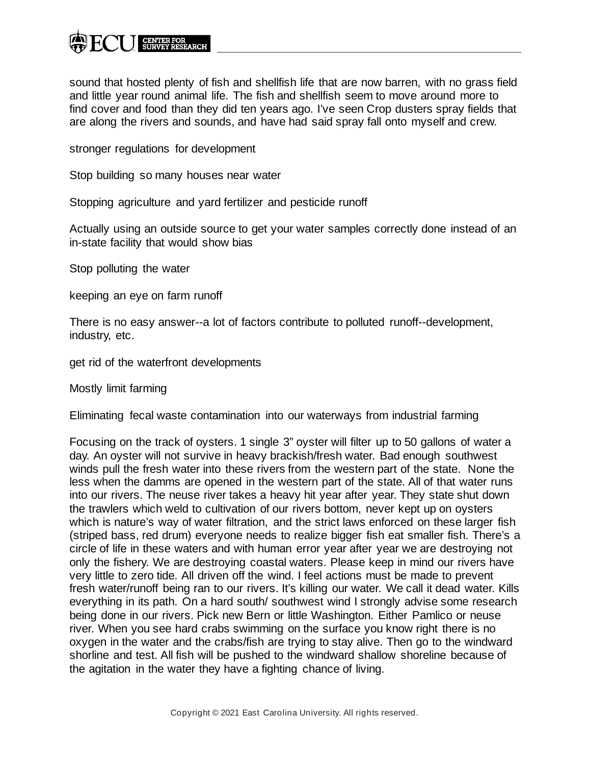sound that hosted plenty of fish and shellfish life that are now barren, with no grass field and little year round animal life. The fish and shellfish seem to move around more to find cover and food than they did ten years ago. I've seen Crop dusters spray fields that are along the rivers and sounds, and have had said spray fall onto myself and crew.

stronger regulations for development

Stop building so many houses near water

Stopping agriculture and yard fertilizer and pesticide runoff

Actually using an outside source to get your water samples correctly done instead of an in-state facility that would show bias

Stop polluting the water

keeping an eye on farm runoff

There is no easy answer--a lot of factors contribute to polluted runoff--development, industry, etc.

get rid of the waterfront developments

Mostly limit farming

Eliminating fecal waste contamination into our waterways from industrial farming

Focusing on the track of oysters. 1 single 3" oyster will filter up to 50 gallons of water a day. An oyster will not survive in heavy brackish/fresh water. Bad enough southwest winds pull the fresh water into these rivers from the western part of the state. None the less when the damms are opened in the western part of the state. All of that water runs into our rivers. The neuse river takes a heavy hit year after year. They state shut down the trawlers which weld to cultivation of our rivers bottom, never kept up on oysters which is nature's way of water filtration, and the strict laws enforced on these larger fish (striped bass, red drum) everyone needs to realize bigger fish eat smaller fish. There's a circle of life in these waters and with human error year after year we are destroying not only the fishery. We are destroying coastal waters. Please keep in mind our rivers have very little to zero tide. All driven off the wind. I feel actions must be made to prevent fresh water/runoff being ran to our rivers. It's killing our water. We call it dead water. Kills everything in its path. On a hard south/ southwest wind I strongly advise some research being done in our rivers. Pick new Bern or little Washington. Either Pamlico or neuse river. When you see hard crabs swimming on the surface you know right there is no oxygen in the water and the crabs/fish are trying to stay alive. Then go to the windward shorline and test. All fish will be pushed to the windward shallow shoreline because of the agitation in the water they have a fighting chance of living.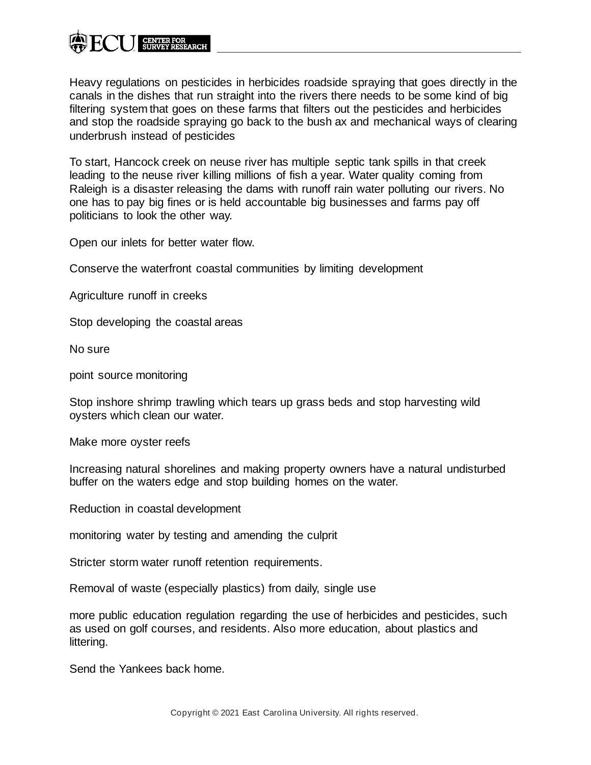Heavy regulations on pesticides in herbicides roadside spraying that goes directly in the canals in the dishes that run straight into the rivers there needs to be some kind of big filtering system that goes on these farms that filters out the pesticides and herbicides and stop the roadside spraying go back to the bush ax and mechanical ways of clearing underbrush instead of pesticides

To start, Hancock creek on neuse river has multiple septic tank spills in that creek leading to the neuse river killing millions of fish a year. Water quality coming from Raleigh is a disaster releasing the dams with runoff rain water polluting our rivers. No one has to pay big fines or is held accountable big businesses and farms pay off politicians to look the other way.

Open our inlets for better water flow.

Conserve the waterfront coastal communities by limiting development

Agriculture runoff in creeks

Stop developing the coastal areas

No sure

point source monitoring

Stop inshore shrimp trawling which tears up grass beds and stop harvesting wild oysters which clean our water.

Make more oyster reefs

Increasing natural shorelines and making property owners have a natural undisturbed buffer on the waters edge and stop building homes on the water.

Reduction in coastal development

monitoring water by testing and amending the culprit

Stricter storm water runoff retention requirements.

Removal of waste (especially plastics) from daily, single use

more public education regulation regarding the use of herbicides and pesticides, such as used on golf courses, and residents. Also more education, about plastics and littering.

Send the Yankees back home.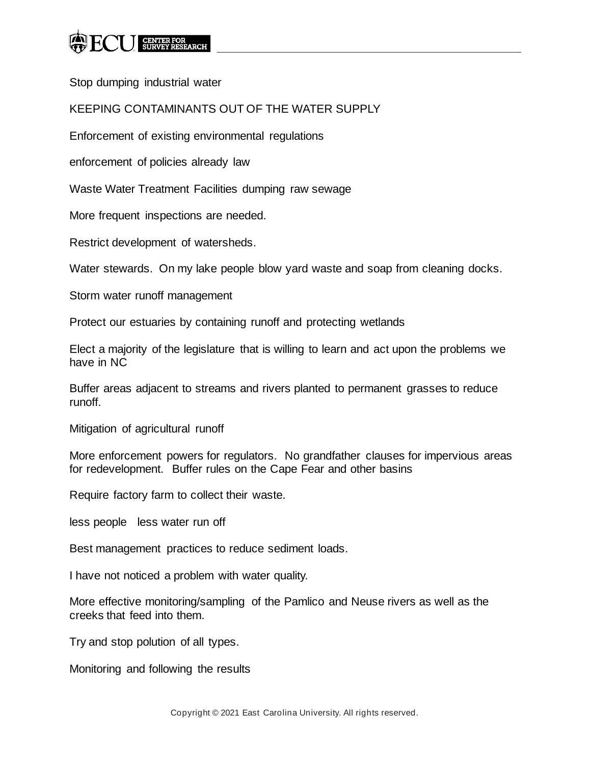Stop dumping industrial water

## KEEPING CONTAMINANTS OUT OF THE WATER SUPPLY

Enforcement of existing environmental regulations

enforcement of policies already law

Waste Water Treatment Facilities dumping raw sewage

More frequent inspections are needed.

Restrict development of watersheds.

Water stewards. On my lake people blow yard waste and soap from cleaning docks.

Storm water runoff management

Protect our estuaries by containing runoff and protecting wetlands

Elect a majority of the legislature that is willing to learn and act upon the problems we have in NC

Buffer areas adjacent to streams and rivers planted to permanent grasses to reduce runoff.

Mitigation of agricultural runoff

More enforcement powers for regulators. No grandfather clauses for impervious areas for redevelopment. Buffer rules on the Cape Fear and other basins

Require factory farm to collect their waste.

less people less water run off

Best management practices to reduce sediment loads.

I have not noticed a problem with water quality.

More effective monitoring/sampling of the Pamlico and Neuse rivers as well as the creeks that feed into them.

Try and stop polution of all types.

Monitoring and following the results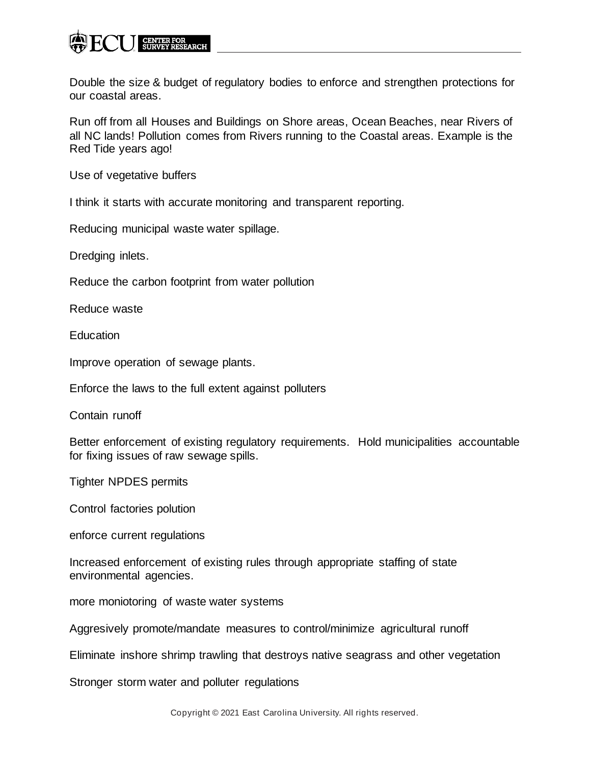

Double the size & budget of regulatory bodies to enforce and strengthen protections for our coastal areas.

Run off from all Houses and Buildings on Shore areas, Ocean Beaches, near Rivers of all NC lands! Pollution comes from Rivers running to the Coastal areas. Example is the Red Tide years ago!

Use of vegetative buffers

I think it starts with accurate monitoring and transparent reporting.

Reducing municipal waste water spillage.

Dredging inlets.

Reduce the carbon footprint from water pollution

Reduce waste

**Education** 

Improve operation of sewage plants.

Enforce the laws to the full extent against polluters

Contain runoff

Better enforcement of existing regulatory requirements. Hold municipalities accountable for fixing issues of raw sewage spills.

Tighter NPDES permits

Control factories polution

enforce current regulations

Increased enforcement of existing rules through appropriate staffing of state environmental agencies.

more moniotoring of waste water systems

Aggresively promote/mandate measures to control/minimize agricultural runoff

Eliminate inshore shrimp trawling that destroys native seagrass and other vegetation

Stronger storm water and polluter regulations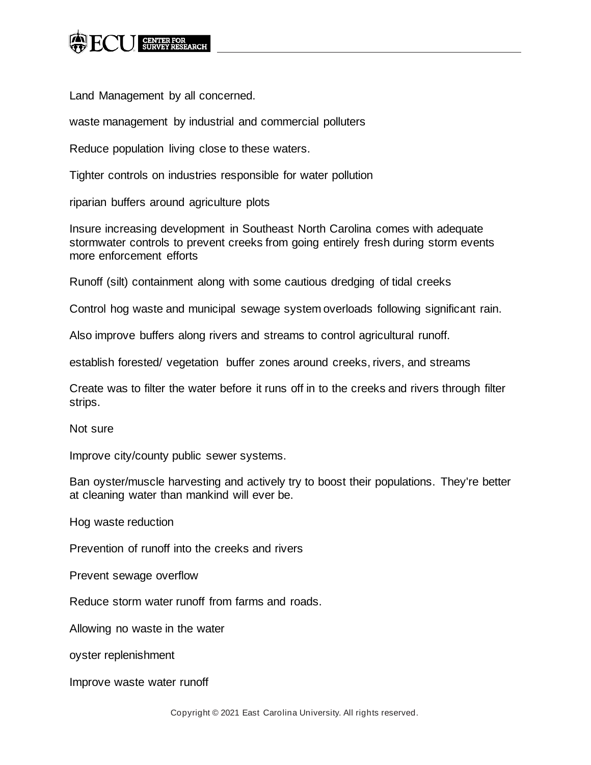

Land Management by all concerned.

waste management by industrial and commercial polluters

Reduce population living close to these waters.

Tighter controls on industries responsible for water pollution

riparian buffers around agriculture plots

Insure increasing development in Southeast North Carolina comes with adequate stormwater controls to prevent creeks from going entirely fresh during storm events more enforcement efforts

Runoff (silt) containment along with some cautious dredging of tidal creeks

Control hog waste and municipal sewage system overloads following significant rain.

Also improve buffers along rivers and streams to control agricultural runoff.

establish forested/ vegetation buffer zones around creeks, rivers, and streams

Create was to filter the water before it runs off in to the creeks and rivers through filter strips.

Not sure

Improve city/county public sewer systems.

Ban oyster/muscle harvesting and actively try to boost their populations. They're better at cleaning water than mankind will ever be.

Hog waste reduction

Prevention of runoff into the creeks and rivers

Prevent sewage overflow

Reduce storm water runoff from farms and roads.

Allowing no waste in the water

oyster replenishment

Improve waste water runoff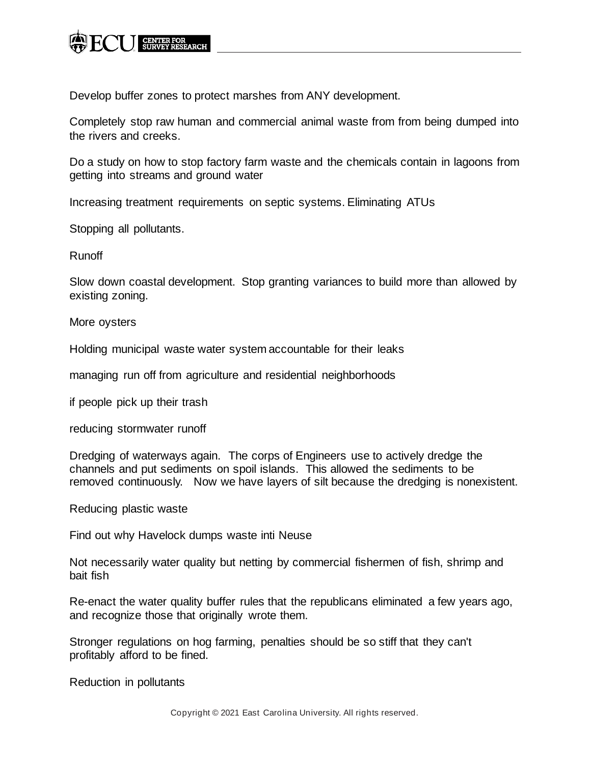

Develop buffer zones to protect marshes from ANY development.

Completely stop raw human and commercial animal waste from from being dumped into the rivers and creeks.

Do a study on how to stop factory farm waste and the chemicals contain in lagoons from getting into streams and ground water

Increasing treatment requirements on septic systems. Eliminating ATUs

Stopping all pollutants.

Runoff

Slow down coastal development. Stop granting variances to build more than allowed by existing zoning.

More oysters

Holding municipal waste water system accountable for their leaks

managing run off from agriculture and residential neighborhoods

if people pick up their trash

reducing stormwater runoff

Dredging of waterways again. The corps of Engineers use to actively dredge the channels and put sediments on spoil islands. This allowed the sediments to be removed continuously. Now we have layers of silt because the dredging is nonexistent.

Reducing plastic waste

Find out why Havelock dumps waste inti Neuse

Not necessarily water quality but netting by commercial fishermen of fish, shrimp and bait fish

Re-enact the water quality buffer rules that the republicans eliminated a few years ago, and recognize those that originally wrote them.

Stronger regulations on hog farming, penalties should be so stiff that they can't profitably afford to be fined.

Reduction in pollutants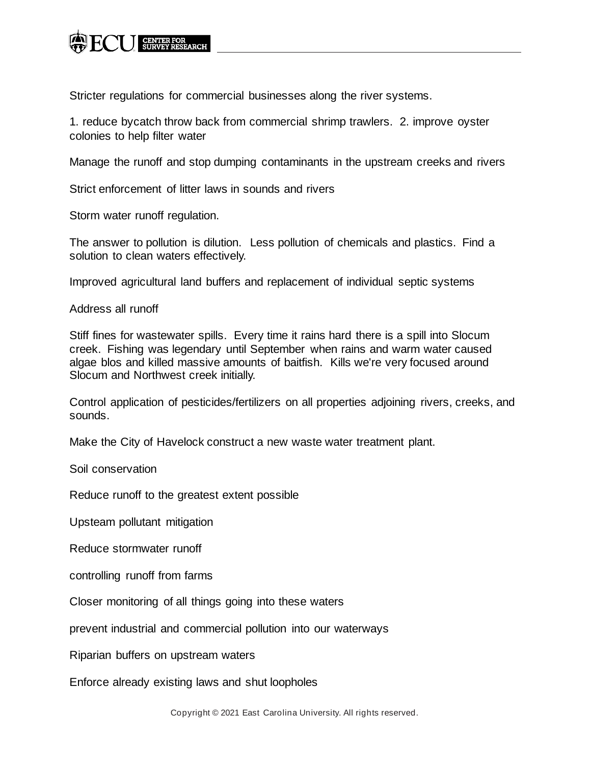

Stricter regulations for commercial businesses along the river systems.

1. reduce bycatch throw back from commercial shrimp trawlers. 2. improve oyster colonies to help filter water

Manage the runoff and stop dumping contaminants in the upstream creeks and rivers

Strict enforcement of litter laws in sounds and rivers

Storm water runoff regulation.

The answer to pollution is dilution. Less pollution of chemicals and plastics. Find a solution to clean waters effectively.

Improved agricultural land buffers and replacement of individual septic systems

Address all runoff

Stiff fines for wastewater spills. Every time it rains hard there is a spill into Slocum creek. Fishing was legendary until September when rains and warm water caused algae blos and killed massive amounts of baitfish. Kills we're very focused around Slocum and Northwest creek initially.

Control application of pesticides/fertilizers on all properties adjoining rivers, creeks, and sounds.

Make the City of Havelock construct a new waste water treatment plant.

Soil conservation

Reduce runoff to the greatest extent possible

Upsteam pollutant mitigation

Reduce stormwater runoff

controlling runoff from farms

Closer monitoring of all things going into these waters

prevent industrial and commercial pollution into our waterways

Riparian buffers on upstream waters

Enforce already existing laws and shut loopholes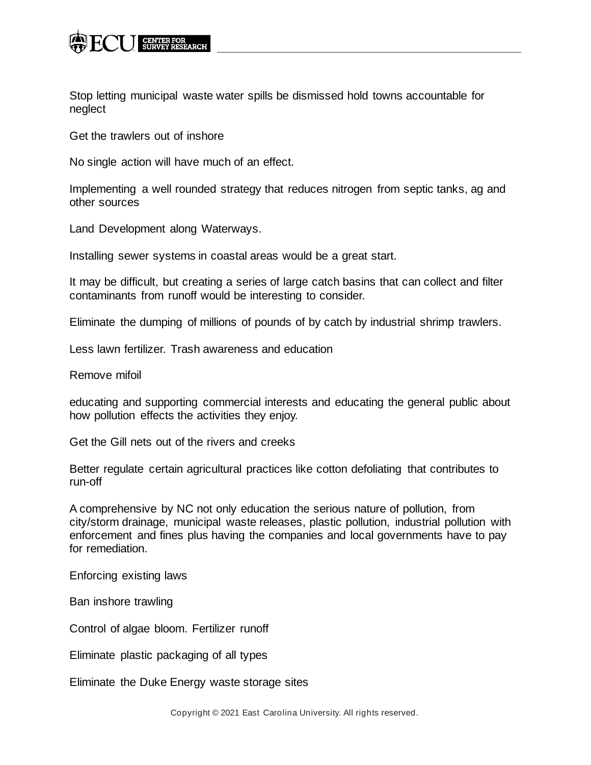

Stop letting municipal waste water spills be dismissed hold towns accountable for neglect

Get the trawlers out of inshore

No single action will have much of an effect.

Implementing a well rounded strategy that reduces nitrogen from septic tanks, ag and other sources

Land Development along Waterways.

Installing sewer systems in coastal areas would be a great start.

It may be difficult, but creating a series of large catch basins that can collect and filter contaminants from runoff would be interesting to consider.

Eliminate the dumping of millions of pounds of by catch by industrial shrimp trawlers.

Less lawn fertilizer. Trash awareness and education

Remove mifoil

educating and supporting commercial interests and educating the general public about how pollution effects the activities they enjoy.

Get the Gill nets out of the rivers and creeks

Better regulate certain agricultural practices like cotton defoliating that contributes to run-off

A comprehensive by NC not only education the serious nature of pollution, from city/storm drainage, municipal waste releases, plastic pollution, industrial pollution with enforcement and fines plus having the companies and local governments have to pay for remediation.

Enforcing existing laws

Ban inshore trawling

Control of algae bloom. Fertilizer runoff

Eliminate plastic packaging of all types

Eliminate the Duke Energy waste storage sites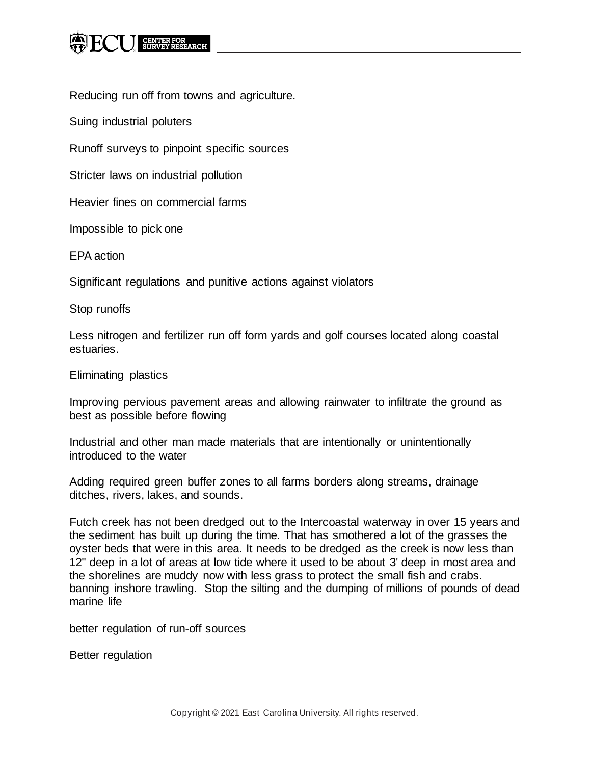Reducing run off from towns and agriculture.

Suing industrial poluters

Runoff surveys to pinpoint specific sources

Stricter laws on industrial pollution

Heavier fines on commercial farms

Impossible to pick one

EPA action

Significant regulations and punitive actions against violators

Stop runoffs

Less nitrogen and fertilizer run off form yards and golf courses located along coastal estuaries.

Eliminating plastics

Improving pervious pavement areas and allowing rainwater to infiltrate the ground as best as possible before flowing

Industrial and other man made materials that are intentionally or unintentionally introduced to the water

Adding required green buffer zones to all farms borders along streams, drainage ditches, rivers, lakes, and sounds.

Futch creek has not been dredged out to the Intercoastal waterway in over 15 years and the sediment has built up during the time. That has smothered a lot of the grasses the oyster beds that were in this area. It needs to be dredged as the creek is now less than 12" deep in a lot of areas at low tide where it used to be about 3' deep in most area and the shorelines are muddy now with less grass to protect the small fish and crabs. banning inshore trawling. Stop the silting and the dumping of millions of pounds of dead marine life

better regulation of run-off sources

Better regulation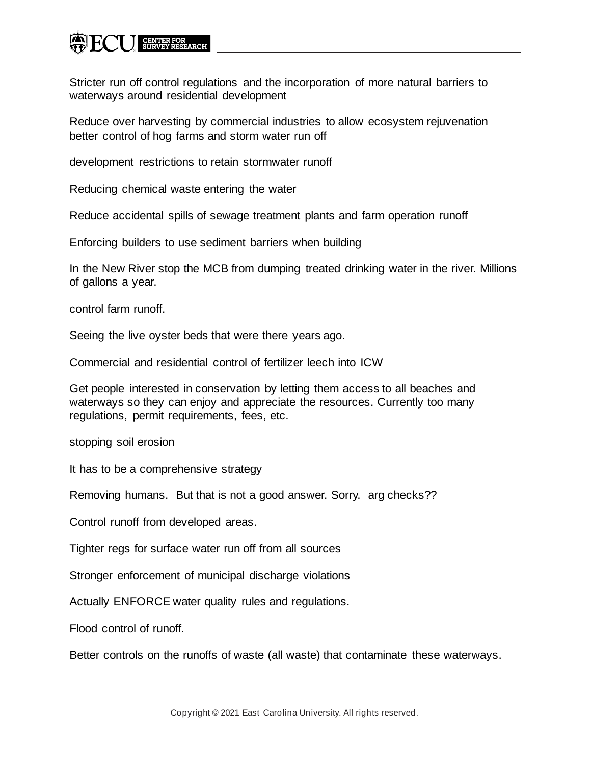Stricter run off control regulations and the incorporation of more natural barriers to waterways around residential development

Reduce over harvesting by commercial industries to allow ecosystem rejuvenation better control of hog farms and storm water run off

development restrictions to retain stormwater runoff

Reducing chemical waste entering the water

Reduce accidental spills of sewage treatment plants and farm operation runoff

Enforcing builders to use sediment barriers when building

In the New River stop the MCB from dumping treated drinking water in the river. Millions of gallons a year.

control farm runoff.

Seeing the live oyster beds that were there years ago.

Commercial and residential control of fertilizer leech into ICW

Get people interested in conservation by letting them access to all beaches and waterways so they can enjoy and appreciate the resources. Currently too many regulations, permit requirements, fees, etc.

stopping soil erosion

It has to be a comprehensive strategy

Removing humans. But that is not a good answer. Sorry. arg checks??

Control runoff from developed areas.

Tighter regs for surface water run off from all sources

Stronger enforcement of municipal discharge violations

Actually ENFORCE water quality rules and regulations.

Flood control of runoff.

Better controls on the runoffs of waste (all waste) that contaminate these waterways.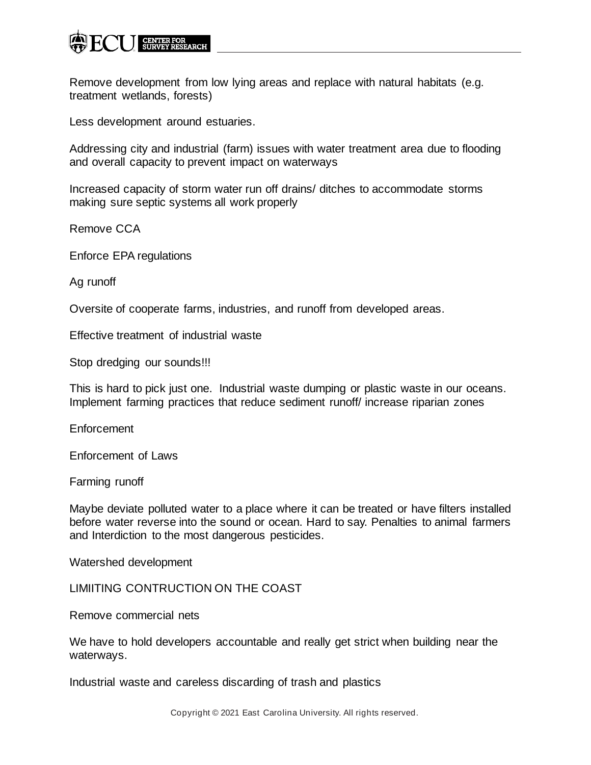

Remove development from low lying areas and replace with natural habitats (e.g. treatment wetlands, forests)

Less development around estuaries.

Addressing city and industrial (farm) issues with water treatment area due to flooding and overall capacity to prevent impact on waterways

Increased capacity of storm water run off drains/ ditches to accommodate storms making sure septic systems all work properly

Remove CCA

Enforce EPA regulations

Ag runoff

Oversite of cooperate farms, industries, and runoff from developed areas.

Effective treatment of industrial waste

Stop dredging our sounds!!!

This is hard to pick just one. Industrial waste dumping or plastic waste in our oceans. Implement farming practices that reduce sediment runoff/ increase riparian zones

Enforcement

Enforcement of Laws

Farming runoff

Maybe deviate polluted water to a place where it can be treated or have filters installed before water reverse into the sound or ocean. Hard to say. Penalties to animal farmers and Interdiction to the most dangerous pesticides.

Watershed development

LIMIITING CONTRUCTION ON THE COAST

Remove commercial nets

We have to hold developers accountable and really get strict when building near the waterways.

Industrial waste and careless discarding of trash and plastics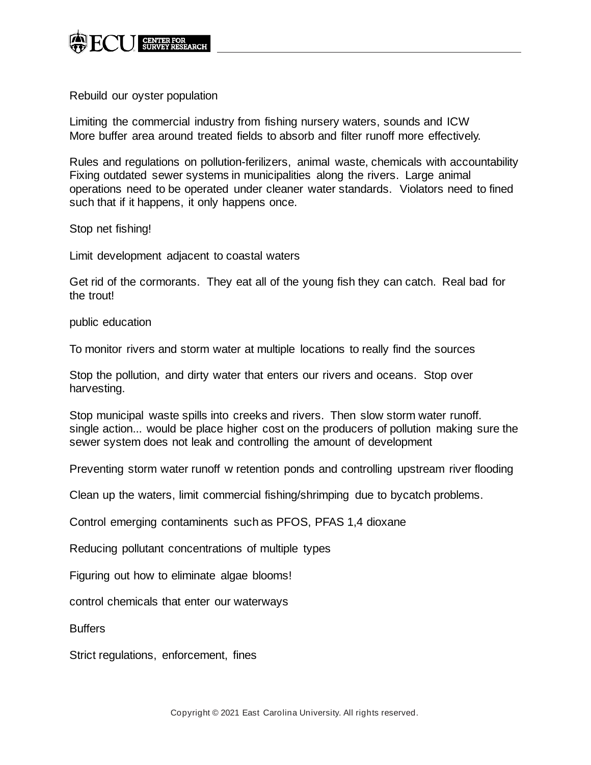

Rebuild our oyster population

Limiting the commercial industry from fishing nursery waters, sounds and ICW More buffer area around treated fields to absorb and filter runoff more effectively.

Rules and regulations on pollution-ferilizers, animal waste, chemicals with accountability Fixing outdated sewer systems in municipalities along the rivers. Large animal operations need to be operated under cleaner water standards. Violators need to fined such that if it happens, it only happens once.

Stop net fishing!

Limit development adjacent to coastal waters

Get rid of the cormorants. They eat all of the young fish they can catch. Real bad for the trout!

public education

To monitor rivers and storm water at multiple locations to really find the sources

Stop the pollution, and dirty water that enters our rivers and oceans. Stop over harvesting.

Stop municipal waste spills into creeks and rivers. Then slow storm water runoff. single action... would be place higher cost on the producers of pollution making sure the sewer system does not leak and controlling the amount of development

Preventing storm water runoff w retention ponds and controlling upstream river flooding

Clean up the waters, limit commercial fishing/shrimping due to bycatch problems.

Control emerging contaminents such as PFOS, PFAS 1,4 dioxane

Reducing pollutant concentrations of multiple types

Figuring out how to eliminate algae blooms!

control chemicals that enter our waterways

**Buffers** 

Strict regulations, enforcement, fines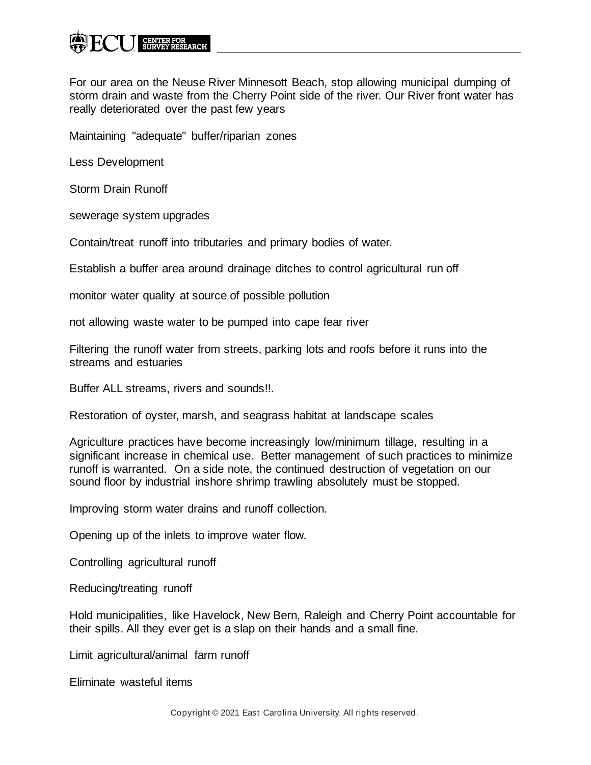For our area on the Neuse River Minnesott Beach, stop allowing municipal dumping of storm drain and waste from the Cherry Point side of the river. Our River front water has really deteriorated over the past few years

Maintaining "adequate" buffer/riparian zones

Less Development

Storm Drain Runoff

sewerage system upgrades

Contain/treat runoff into tributaries and primary bodies of water.

Establish a buffer area around drainage ditches to control agricultural run off

monitor water quality at source of possible pollution

not allowing waste water to be pumped into cape fear river

Filtering the runoff water from streets, parking lots and roofs before it runs into the streams and estuaries

Buffer ALL streams, rivers and sounds!!.

Restoration of oyster, marsh, and seagrass habitat at landscape scales

Agriculture practices have become increasingly low/minimum tillage, resulting in a significant increase in chemical use. Better management of such practices to minimize runoff is warranted. On a side note, the continued destruction of vegetation on our sound floor by industrial inshore shrimp trawling absolutely must be stopped.

Improving storm water drains and runoff collection.

Opening up of the inlets to improve water flow.

Controlling agricultural runoff

Reducing/treating runoff

Hold municipalities, like Havelock, New Bern, Raleigh and Cherry Point accountable for their spills. All they ever get is a slap on their hands and a small fine.

Limit agricultural/animal farm runoff

Eliminate wasteful items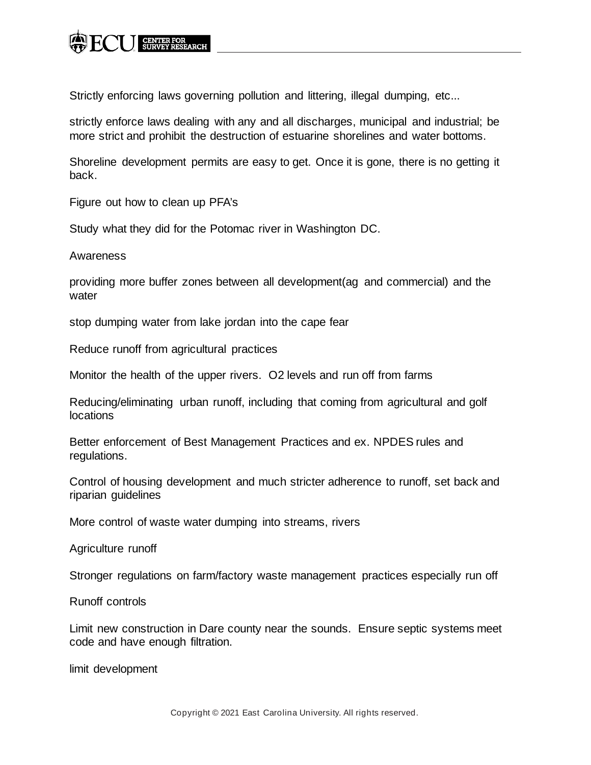Strictly enforcing laws governing pollution and littering, illegal dumping, etc...

strictly enforce laws dealing with any and all discharges, municipal and industrial; be more strict and prohibit the destruction of estuarine shorelines and water bottoms.

Shoreline development permits are easy to get. Once it is gone, there is no getting it back.

Figure out how to clean up PFA's

Study what they did for the Potomac river in Washington DC.

Awareness

providing more buffer zones between all development(ag and commercial) and the water

stop dumping water from lake jordan into the cape fear

Reduce runoff from agricultural practices

Monitor the health of the upper rivers. O2 levels and run off from farms

Reducing/eliminating urban runoff, including that coming from agricultural and golf locations

Better enforcement of Best Management Practices and ex. NPDES rules and regulations.

Control of housing development and much stricter adherence to runoff, set back and riparian guidelines

More control of waste water dumping into streams, rivers

Agriculture runoff

Stronger regulations on farm/factory waste management practices especially run off

Runoff controls

Limit new construction in Dare county near the sounds. Ensure septic systems meet code and have enough filtration.

limit development